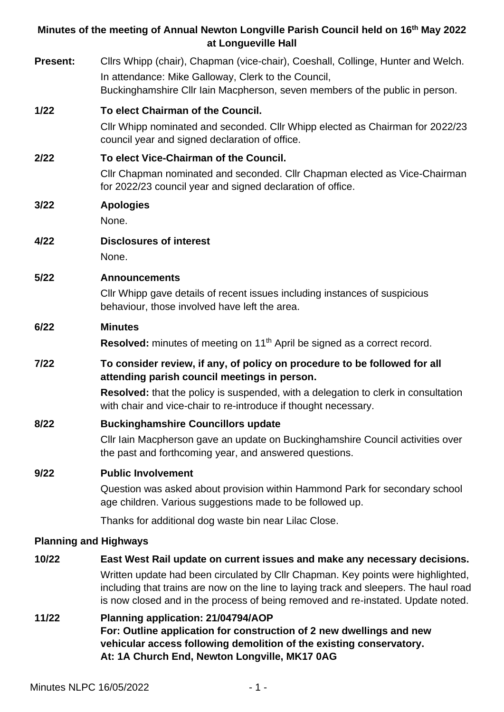# **Minutes of the meeting of Annual Newton Longville Parish Council held on 16 th May 2022 at Longueville Hall Present:** Cllrs Whipp (chair), Chapman (vice-chair), Coeshall, Collinge, Hunter and Welch. In attendance: Mike Galloway, Clerk to the Council, Buckinghamshire Cllr Iain Macpherson, seven members of the public in person. **1/22 To elect Chairman of the Council.** Cllr Whipp nominated and seconded. Cllr Whipp elected as Chairman for 2022/23 council year and signed declaration of office. **2/22 To elect Vice-Chairman of the Council.** Cllr Chapman nominated and seconded. Cllr Chapman elected as Vice-Chairman for 2022/23 council year and signed declaration of office. **3/22 Apologies** None. **4/22 Disclosures of interest** None. **5/22 Announcements** Cllr Whipp gave details of recent issues including instances of suspicious behaviour, those involved have left the area. **6/22 Minutes** Resolved: minutes of meeting on 11<sup>th</sup> April be signed as a correct record. **7/22 To consider review, if any, of policy on procedure to be followed for all attending parish council meetings in person. Resolved:** that the policy is suspended, with a delegation to clerk in consultation with chair and vice-chair to re-introduce if thought necessary. **8/22 Buckinghamshire Councillors update** Cllr Iain Macpherson gave an update on Buckinghamshire Council activities over the past and forthcoming year, and answered questions. **9/22 Public Involvement** Question was asked about provision within Hammond Park for secondary school age children. Various suggestions made to be followed up. Thanks for additional dog waste bin near Lilac Close. **Planning and Highways 10/22 East West Rail update on current issues and make any necessary decisions.**

- Written update had been circulated by Cllr Chapman. Key points were highlighted, including that trains are now on the line to laying track and sleepers. The haul road is now closed and in the process of being removed and re-instated. Update noted.
- **11/22 Planning application: 21/04794/AOP For: Outline application for construction of 2 new dwellings and new vehicular access following demolition of the existing conservatory. At: 1A Church End, Newton Longville, MK17 0AG**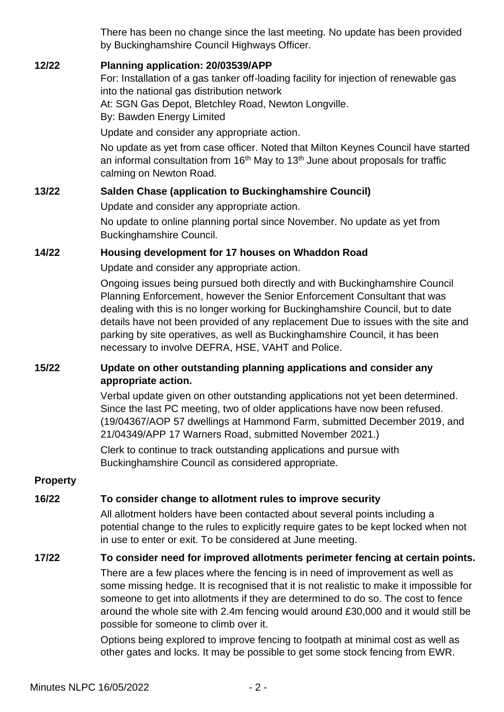There has been no change since the last meeting. No update has been provided by Buckinghamshire Council Highways Officer.

#### **12/22 Planning application: 20/03539/APP**

For: Installation of a gas tanker off-loading facility for injection of renewable gas into the national gas distribution network At: SGN Gas Depot, Bletchley Road, Newton Longville. By: Bawden Energy Limited

Update and consider any appropriate action.

No update as yet from case officer. Noted that Milton Keynes Council have started an informal consultation from  $16<sup>th</sup>$  May to  $13<sup>th</sup>$  June about proposals for traffic calming on Newton Road.

#### **13/22 Salden Chase (application to Buckinghamshire Council)**

Update and consider any appropriate action.

No update to online planning portal since November. No update as yet from Buckinghamshire Council.

#### **14/22 Housing development for 17 houses on Whaddon Road**

Update and consider any appropriate action.

Ongoing issues being pursued both directly and with Buckinghamshire Council Planning Enforcement, however the Senior Enforcement Consultant that was dealing with this is no longer working for Buckinghamshire Council, but to date details have not been provided of any replacement Due to issues with the site and parking by site operatives, as well as Buckinghamshire Council, it has been necessary to involve DEFRA, HSE, VAHT and Police.

## **15/22 Update on other outstanding planning applications and consider any appropriate action.**

Verbal update given on other outstanding applications not yet been determined. Since the last PC meeting, two of older applications have now been refused. (19/04367/AOP 57 dwellings at Hammond Farm, submitted December 2019, and 21/04349/APP 17 Warners Road, submitted November 2021.)

Clerk to continue to track outstanding applications and pursue with Buckinghamshire Council as considered appropriate.

#### **Property**

## **16/22 To consider change to allotment rules to improve security**

All allotment holders have been contacted about several points including a potential change to the rules to explicitly require gates to be kept locked when not in use to enter or exit. To be considered at June meeting.

## **17/22 To consider need for improved allotments perimeter fencing at certain points.**

There are a few places where the fencing is in need of improvement as well as some missing hedge. It is recognised that it is not realistic to make it impossible for someone to get into allotments if they are determined to do so. The cost to fence around the whole site with 2.4m fencing would around £30,000 and it would still be possible for someone to climb over it.

Options being explored to improve fencing to footpath at minimal cost as well as other gates and locks. It may be possible to get some stock fencing from EWR.